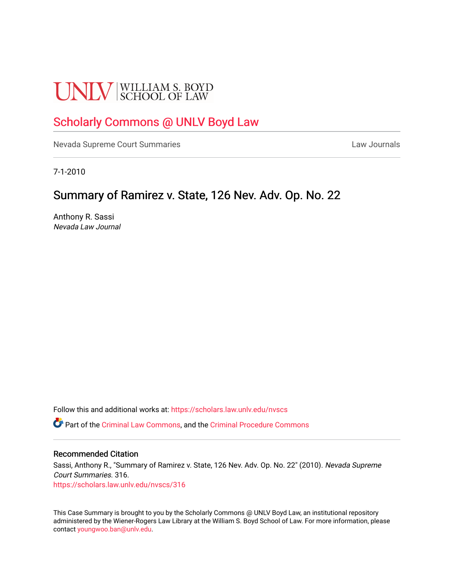# **UNLV** SCHOOL OF LAW

# [Scholarly Commons @ UNLV Boyd Law](https://scholars.law.unlv.edu/)

[Nevada Supreme Court Summaries](https://scholars.law.unlv.edu/nvscs) **Law Journals** Law Journals

7-1-2010

# Summary of Ramirez v. State, 126 Nev. Adv. Op. No. 22

Anthony R. Sassi Nevada Law Journal

Follow this and additional works at: [https://scholars.law.unlv.edu/nvscs](https://scholars.law.unlv.edu/nvscs?utm_source=scholars.law.unlv.edu%2Fnvscs%2F316&utm_medium=PDF&utm_campaign=PDFCoverPages)

Part of the [Criminal Law Commons,](http://network.bepress.com/hgg/discipline/912?utm_source=scholars.law.unlv.edu%2Fnvscs%2F316&utm_medium=PDF&utm_campaign=PDFCoverPages) and the [Criminal Procedure Commons](http://network.bepress.com/hgg/discipline/1073?utm_source=scholars.law.unlv.edu%2Fnvscs%2F316&utm_medium=PDF&utm_campaign=PDFCoverPages)

#### Recommended Citation

Sassi, Anthony R., "Summary of Ramirez v. State, 126 Nev. Adv. Op. No. 22" (2010). Nevada Supreme Court Summaries. 316. [https://scholars.law.unlv.edu/nvscs/316](https://scholars.law.unlv.edu/nvscs/316?utm_source=scholars.law.unlv.edu%2Fnvscs%2F316&utm_medium=PDF&utm_campaign=PDFCoverPages)

This Case Summary is brought to you by the Scholarly Commons @ UNLV Boyd Law, an institutional repository administered by the Wiener-Rogers Law Library at the William S. Boyd School of Law. For more information, please contact [youngwoo.ban@unlv.edu](mailto:youngwoo.ban@unlv.edu).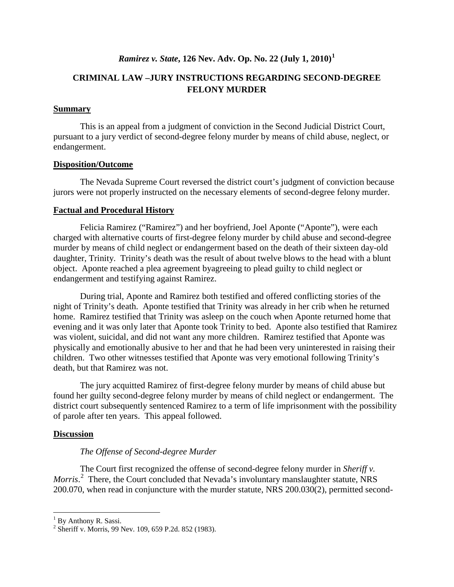# *Ramirez v. State***, 126 Nev. Adv. Op. No. 22 (July 1, 2010) [1](#page-1-0)**

# **CRIMINAL LAW –JURY INSTRUCTIONS REGARDING SECOND-DEGREE FELONY MURDER**

#### **Summary**

This is an appeal from a judgment of conviction in the Second Judicial District Court, pursuant to a jury verdict of second-degree felony murder by means of child abuse, neglect, or endangerment.

#### **Disposition/Outcome**

The Nevada Supreme Court reversed the district court's judgment of conviction because jurors were not properly instructed on the necessary elements of second-degree felony murder.

#### **Factual and Procedural History**

Felicia Ramirez ("Ramirez") and her boyfriend, Joel Aponte ("Aponte"), were each charged with alternative courts of first-degree felony murder by child abuse and second-degree murder by means of child neglect or endangerment based on the death of their sixteen day-old daughter, Trinity. Trinity's death was the result of about twelve blows to the head with a blunt object. Aponte reached a plea agreement byagreeing to plead guilty to child neglect or endangerment and testifying against Ramirez.

During trial, Aponte and Ramirez both testified and offered conflicting stories of the night of Trinity's death. Aponte testified that Trinity was already in her crib when he returned home. Ramirez testified that Trinity was asleep on the couch when Aponte returned home that evening and it was only later that Aponte took Trinity to bed. Aponte also testified that Ramirez was violent, suicidal, and did not want any more children. Ramirez testified that Aponte was physically and emotionally abusive to her and that he had been very uninterested in raising their children. Two other witnesses testified that Aponte was very emotional following Trinity's death, but that Ramirez was not.

The jury acquitted Ramirez of first-degree felony murder by means of child abuse but found her guilty second-degree felony murder by means of child neglect or endangerment. The district court subsequently sentenced Ramirez to a term of life imprisonment with the possibility of parole after ten years. This appeal followed.

#### **Discussion**

#### *The Offense of Second-degree Murder*

The Court first recognized the offense of second-degree felony murder in *Sheriff v.*  Morris.<sup>[2](#page-1-1)</sup> There, the Court concluded that Nevada's involuntary manslaughter statute, NRS 200.070, when read in conjuncture with the murder statute, NRS 200.030(2), permitted second-

<span id="page-1-0"></span> $1$  By Anthony R. Sassi.

<span id="page-1-1"></span><sup>2</sup> Sheriff v. Morris, 99 Nev. 109, 659 P.2d. 852 (1983).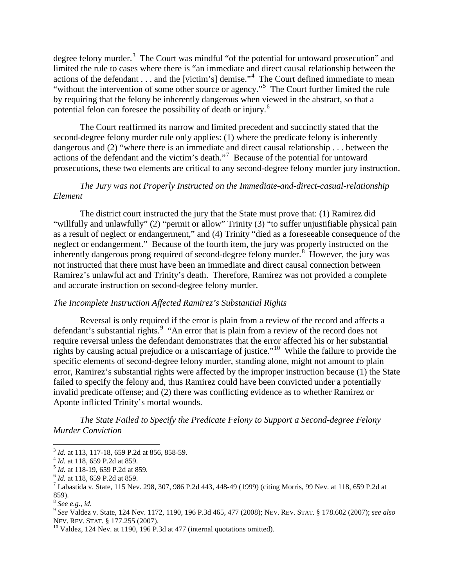degree felony murder.<sup>[3](#page-2-0)</sup> The Court was mindful "of the potential for untoward prosecution" and limited the rule to cases where there is "an immediate and direct causal relationship between the actions of the defendant . . . and the [victim's] demise."<sup>[4](#page-2-1)</sup> The Court defined immediate to mean "without the intervention of some other source or agency."<sup>[5](#page-2-2)</sup> The Court further limited the rule by requiring that the felony be inherently dangerous when viewed in the abstract, so that a potential felon can foresee the possibility of death or injury. [6](#page-2-3)

The Court reaffirmed its narrow and limited precedent and succinctly stated that the second-degree felony murder rule only applies: (1) where the predicate felony is inherently dangerous and (2) "where there is an immediate and direct causal relationship . . . between the actions of the defendant and the victim's death." [7](#page-2-4) Because of the potential for untoward prosecutions, these two elements are critical to any second-degree felony murder jury instruction.

# *The Jury was not Properly Instructed on the Immediate-and-direct-casual-relationship Element*

The district court instructed the jury that the State must prove that: (1) Ramirez did "willfully and unlawfully" (2) "permit or allow" Trinity (3) "to suffer unjustifiable physical pain as a result of neglect or endangerment," and (4) Trinity "died as a foreseeable consequence of the neglect or endangerment." Because of the fourth item, the jury was properly instructed on the inherently dangerous prong required of second-degree felony murder. [8](#page-2-5) However, the jury was not instructed that there must have been an immediate and direct causal connection between Ramirez's unlawful act and Trinity's death. Therefore, Ramirez was not provided a complete and accurate instruction on second-degree felony murder.

#### *The Incomplete Instruction Affected Ramirez's Substantial Rights*

Reversal is only required if the error is plain from a review of the record and affects a defendant's substantial rights.<sup>[9](#page-2-6)</sup> "An error that is plain from a review of the record does not require reversal unless the defendant demonstrates that the error affected his or her substantial rights by causing actual prejudice or a miscarriage of justice."<sup>[10](#page-2-7)</sup> While the failure to provide the specific elements of second-degree felony murder, standing alone, might not amount to plain error, Ramirez's substantial rights were affected by the improper instruction because (1) the State failed to specify the felony and, thus Ramirez could have been convicted under a potentially invalid predicate offense; and (2) there was conflicting evidence as to whether Ramirez or Aponte inflicted Trinity's mortal wounds.

 *The State Failed to Specify the Predicate Felony to Support a Second-degree Felony Murder Conviction*

<span id="page-2-2"></span>

<span id="page-2-4"></span><span id="page-2-3"></span>

<span id="page-2-1"></span><span id="page-2-0"></span><sup>&</sup>lt;sup>3</sup> *Id.* at 113, 117-18, 659 P.2d at 856, 858-59.<br>
<sup>4</sup> *Id.* at 118, 659 P.2d at 859.<br>
<sup>5</sup> *Id.* at 118-19, 659 P.2d at 859.<br>
<sup>6</sup> *Id.* at 118, 659 P.2d at 859.<br>
<sup>7</sup> Labastida v. State, 115 Nev. 298, 307, 986 P.2d 443, 4 859).

<sup>8</sup> *See e.g., id.*

<span id="page-2-6"></span><span id="page-2-5"></span><sup>9</sup> *See* Valdez v. State, 124 Nev. 1172, 1190, 196 P.3d 465, 477 (2008); NEV. REV. STAT. § 178.602 (2007); *see also*

<span id="page-2-7"></span> $10$  Valdez, 124 Nev. at 1190, 196 P.3d at 477 (internal quotations omitted).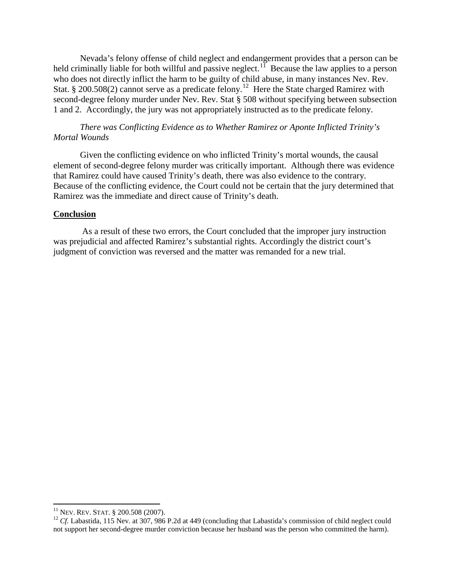Nevada's felony offense of child neglect and endangerment provides that a person can be held criminally liable for both willful and passive neglect.<sup>11</sup> Because the law applies to a person who does not directly inflict the harm to be guilty of child abuse, in many instances Nev. Rev. Stat. § 200.508(2) cannot serve as a predicate felony.<sup>[12](#page-3-1)</sup> Here the State charged Ramirez with second-degree felony murder under Nev. Rev. Stat § 508 without specifying between subsection 1 and 2. Accordingly, the jury was not appropriately instructed as to the predicate felony.

# *There was Conflicting Evidence as to Whether Ramirez or Aponte Inflicted Trinity's Mortal Wounds*

Given the conflicting evidence on who inflicted Trinity's mortal wounds, the causal element of second-degree felony murder was critically important. Although there was evidence that Ramirez could have caused Trinity's death, there was also evidence to the contrary. Because of the conflicting evidence, the Court could not be certain that the jury determined that Ramirez was the immediate and direct cause of Trinity's death.

#### **Conclusion**

As a result of these two errors, the Court concluded that the improper jury instruction was prejudicial and affected Ramirez's substantial rights. Accordingly the district court's judgment of conviction was reversed and the matter was remanded for a new trial.

<span id="page-3-1"></span><span id="page-3-0"></span><sup>&</sup>lt;sup>11</sup> NEV. REV. STAT. § 200.508 (2007).<br><sup>12</sup> *Cf.* Labastida, 115 Nev. at 307, 986 P.2d at 449 (concluding that Labastida's commission of child neglect could not support her second-degree murder conviction because her husband was the person who committed the harm).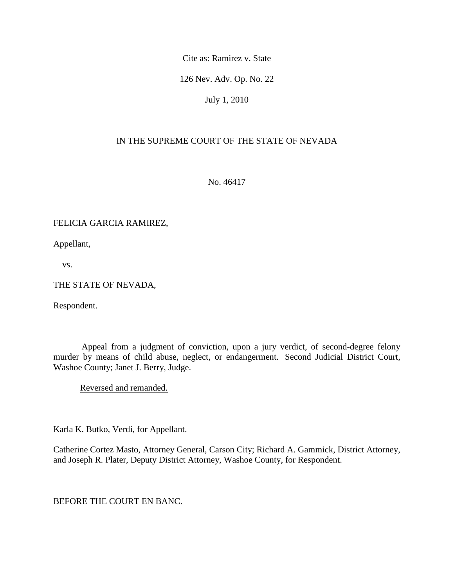Cite as: Ramirez v. State

126 Nev. Adv. Op. No. 22

July 1, 2010

# IN THE SUPREME COURT OF THE STATE OF NEVADA

No. 46417

# FELICIA GARCIA RAMIREZ,

Appellant,

vs.

# THE STATE OF NEVADA,

Respondent.

 Appeal from a judgment of conviction, upon a jury verdict, of second-degree felony murder by means of child abuse, neglect, or endangerment. Second Judicial District Court, Washoe County; Janet J. Berry, Judge.

Reversed and remanded.

Karla K. Butko, Verdi, for Appellant.

Catherine Cortez Masto, Attorney General, Carson City; Richard A. Gammick, District Attorney, and Joseph R. Plater, Deputy District Attorney, Washoe County, for Respondent.

BEFORE THE COURT EN BANC.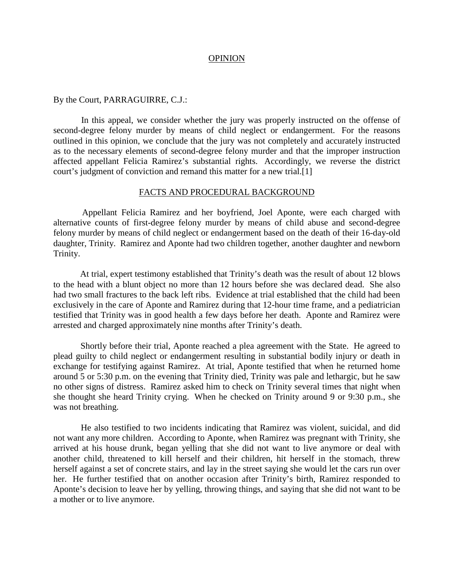#### OPINION

#### By the Court, PARRAGUIRRE, C.J.:

 In this appeal, we consider whether the jury was properly instructed on the offense of second-degree felony murder by means of child neglect or endangerment. For the reasons outlined in this opinion, we conclude that the jury was not completely and accurately instructed as to the necessary elements of second-degree felony murder and that the improper instruction affected appellant Felicia Ramirez's substantial rights. Accordingly, we reverse the district court's judgment of conviction and remand this matter for a new trial.[1]

#### FACTS AND PROCEDURAL BACKGROUND

 Appellant Felicia Ramirez and her boyfriend, Joel Aponte, were each charged with alternative counts of first-degree felony murder by means of child abuse and second-degree felony murder by means of child neglect or endangerment based on the death of their 16-day-old daughter, Trinity. Ramirez and Aponte had two children together, another daughter and newborn Trinity.

 At trial, expert testimony established that Trinity's death was the result of about 12 blows to the head with a blunt object no more than 12 hours before she was declared dead. She also had two small fractures to the back left ribs. Evidence at trial established that the child had been exclusively in the care of Aponte and Ramirez during that 12-hour time frame, and a pediatrician testified that Trinity was in good health a few days before her death. Aponte and Ramirez were arrested and charged approximately nine months after Trinity's death.

 Shortly before their trial, Aponte reached a plea agreement with the State. He agreed to plead guilty to child neglect or endangerment resulting in substantial bodily injury or death in exchange for testifying against Ramirez. At trial, Aponte testified that when he returned home around 5 or 5:30 p.m. on the evening that Trinity died, Trinity was pale and lethargic, but he saw no other signs of distress. Ramirez asked him to check on Trinity several times that night when she thought she heard Trinity crying. When he checked on Trinity around 9 or 9:30 p.m., she was not breathing.

 He also testified to two incidents indicating that Ramirez was violent, suicidal, and did not want any more children. According to Aponte, when Ramirez was pregnant with Trinity, she arrived at his house drunk, began yelling that she did not want to live anymore or deal with another child, threatened to kill herself and their children, hit herself in the stomach, threw herself against a set of concrete stairs, and lay in the street saying she would let the cars run over her. He further testified that on another occasion after Trinity's birth, Ramirez responded to Aponte's decision to leave her by yelling, throwing things, and saying that she did not want to be a mother or to live anymore.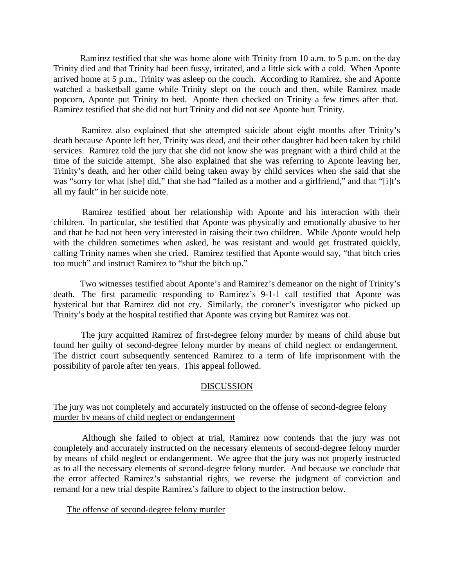Ramirez testified that she was home alone with Trinity from 10 a.m. to 5 p.m. on the day Trinity died and that Trinity had been fussy, irritated, and a little sick with a cold. When Aponte arrived home at 5 p.m., Trinity was asleep on the couch. According to Ramirez, she and Aponte watched a basketball game while Trinity slept on the couch and then, while Ramirez made popcorn, Aponte put Trinity to bed. Aponte then checked on Trinity a few times after that. Ramirez testified that she did not hurt Trinity and did not see Aponte hurt Trinity.

 Ramirez also explained that she attempted suicide about eight months after Trinity's death because Aponte left her, Trinity was dead, and their other daughter had been taken by child services. Ramirez told the jury that she did not know she was pregnant with a third child at the time of the suicide attempt. She also explained that she was referring to Aponte leaving her, Trinity's death, and her other child being taken away by child services when she said that she was "sorry for what [she] did," that she had "failed as a mother and a girlfriend," and that "[i]t's all my fault" in her suicide note.

 Ramirez testified about her relationship with Aponte and his interaction with their children. In particular, she testified that Aponte was physically and emotionally abusive to her and that he had not been very interested in raising their two children. While Aponte would help with the children sometimes when asked, he was resistant and would get frustrated quickly, calling Trinity names when she cried. Ramirez testified that Aponte would say, "that bitch cries too much" and instruct Ramirez to "shut the bitch up."

 Two witnesses testified about Aponte's and Ramirez's demeanor on the night of Trinity's death. The first paramedic responding to Ramirez's 9-1-1 call testified that Aponte was hysterical but that Ramirez did not cry. Similarly, the coroner's investigator who picked up Trinity's body at the hospital testified that Aponte was crying but Ramirez was not.

 The jury acquitted Ramirez of first-degree felony murder by means of child abuse but found her guilty of second-degree felony murder by means of child neglect or endangerment. The district court subsequently sentenced Ramirez to a term of life imprisonment with the possibility of parole after ten years. This appeal followed.

#### DISCUSSION

#### The jury was not completely and accurately instructed on the offense of second-degree felony murder by means of child neglect or endangerment

 Although she failed to object at trial, Ramirez now contends that the jury was not completely and accurately instructed on the necessary elements of second-degree felony murder by means of child neglect or endangerment. We agree that the jury was not properly instructed as to all the necessary elements of second-degree felony murder. And because we conclude that the error affected Ramirez's substantial rights, we reverse the judgment of conviction and remand for a new trial despite Ramirez's failure to object to the instruction below.

#### The offense of second-degree felony murder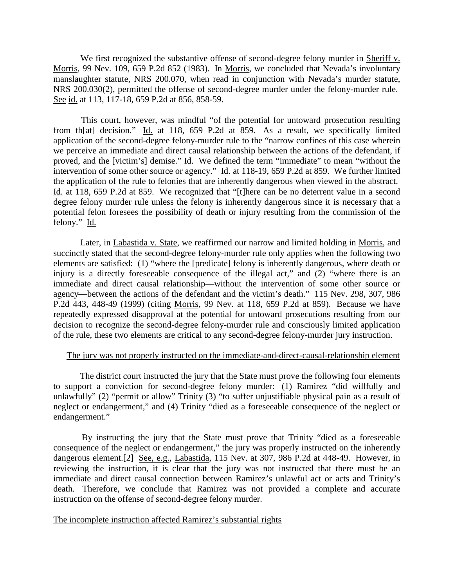We first recognized the substantive offense of second-degree felony murder in Sheriff v. Morris, 99 Nev. 109, 659 P.2d 852 (1983). In Morris, we concluded that Nevada's involuntary manslaughter statute, NRS 200.070, when read in conjunction with Nevada's murder statute, NRS 200.030(2), permitted the offense of second-degree murder under the felony-murder rule. See id. at 113, 117-18, 659 P.2d at 856, 858-59.

 This court, however, was mindful "of the potential for untoward prosecution resulting from th[at] decision." Id. at 118, 659 P.2d at 859. As a result, we specifically limited application of the second-degree felony-murder rule to the "narrow confines of this case wherein we perceive an immediate and direct causal relationship between the actions of the defendant, if proved, and the [victim's] demise." Id. We defined the term "immediate" to mean "without the intervention of some other source or agency." Id. at 118-19, 659 P.2d at 859. We further limited the application of the rule to felonies that are inherently dangerous when viewed in the abstract. Id. at 118, 659 P.2d at 859. We recognized that "[t]here can be no deterrent value in a second degree felony murder rule unless the felony is inherently dangerous since it is necessary that a potential felon foresees the possibility of death or injury resulting from the commission of the felony." Id.

 Later, in Labastida v. State, we reaffirmed our narrow and limited holding in Morris, and succinctly stated that the second-degree felony-murder rule only applies when the following two elements are satisfied: (1) "where the [predicate] felony is inherently dangerous, where death or injury is a directly foreseeable consequence of the illegal act," and (2) "where there is an immediate and direct causal relationship—without the intervention of some other source or agency—between the actions of the defendant and the victim's death." 115 Nev. 298, 307, 986 P.2d 443, 448-49 (1999) (citing Morris, 99 Nev. at 118, 659 P.2d at 859). Because we have repeatedly expressed disapproval at the potential for untoward prosecutions resulting from our decision to recognize the second-degree felony-murder rule and consciously limited application of the rule, these two elements are critical to any second-degree felony-murder jury instruction.

# The jury was not properly instructed on the immediate-and-direct-causal-relationship element

 The district court instructed the jury that the State must prove the following four elements to support a conviction for second-degree felony murder: (1) Ramirez "did willfully and unlawfully" (2) "permit or allow" Trinity (3) "to suffer unjustifiable physical pain as a result of neglect or endangerment," and (4) Trinity "died as a foreseeable consequence of the neglect or endangerment."

 By instructing the jury that the State must prove that Trinity "died as a foreseeable consequence of the neglect or endangerment," the jury was properly instructed on the inherently dangerous element.[2] See, e.g., Labastida, 115 Nev. at 307, 986 P.2d at 448-49. However, in reviewing the instruction, it is clear that the jury was not instructed that there must be an immediate and direct causal connection between Ramirez's unlawful act or acts and Trinity's death. Therefore, we conclude that Ramirez was not provided a complete and accurate instruction on the offense of second-degree felony murder.

#### The incomplete instruction affected Ramirez's substantial rights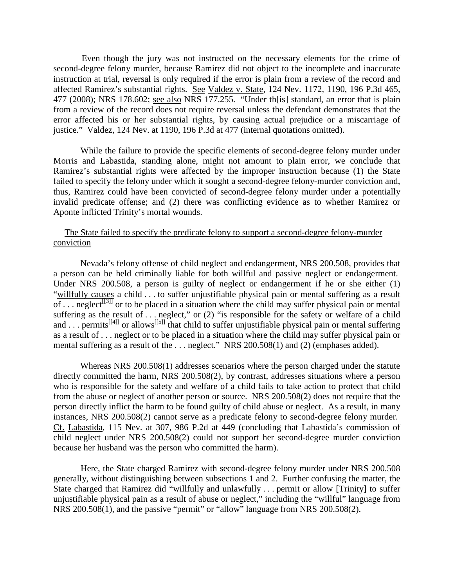Even though the jury was not instructed on the necessary elements for the crime of second-degree felony murder, because Ramirez did not object to the incomplete and inaccurate instruction at trial, reversal is only required if the error is plain from a review of the record and affected Ramirez's substantial rights. See Valdez v. State, 124 Nev. 1172, 1190, 196 P.3d 465, 477 (2008); NRS 178.602; see also NRS 177.255. "Under th[is] standard, an error that is plain from a review of the record does not require reversal unless the defendant demonstrates that the error affected his or her substantial rights, by causing actual prejudice or a miscarriage of justice." Valdez, 124 Nev. at 1190, 196 P.3d at 477 (internal quotations omitted).

 While the failure to provide the specific elements of second-degree felony murder under Morris and Labastida, standing alone, might not amount to plain error, we conclude that Ramirez's substantial rights were affected by the improper instruction because (1) the State failed to specify the felony under which it sought a second-degree felony-murder conviction and, thus, Ramirez could have been convicted of second-degree felony murder under a potentially invalid predicate offense; and (2) there was conflicting evidence as to whether Ramirez or Aponte inflicted Trinity's mortal wounds.

#### The State failed to specify the predicate felony to support a second-degree felony-murder conviction

 Nevada's felony offense of child neglect and endangerment, NRS 200.508, provides that a person can be held criminally liable for both willful and passive neglect or endangerment. Under NRS 200.508, a person is guilty of neglect or endangerment if he or she either (1) "willfully causes a child . . . to suffer unjustifiable physical pain or mental suffering as a result  $\overline{\text{of} \dots \text{neglect}}^{[3]]}$  or to be placed in a situation where the child may suffer physical pain or mental suffering as the result of . . . neglect," or (2) "is responsible for the safety or welfare of a child and . . . permits<sup>[[4]]</sup> or allows<sup>[[5]]</sup> that child to suffer unjustifiable physical pain or mental suffering as a result of . . . neglect or to be placed in a situation where the child may suffer physical pain or mental suffering as a result of the . . . neglect." NRS 200.508(1) and (2) (emphases added).

 Whereas NRS 200.508(1) addresses scenarios where the person charged under the statute directly committed the harm, NRS 200.508(2), by contrast, addresses situations where a person who is responsible for the safety and welfare of a child fails to take action to protect that child from the abuse or neglect of another person or source. NRS 200.508(2) does not require that the person directly inflict the harm to be found guilty of child abuse or neglect. As a result, in many instances, NRS 200.508(2) cannot serve as a predicate felony to second-degree felony murder. Cf. Labastida, 115 Nev. at 307, 986 P.2d at 449 (concluding that Labastida's commission of child neglect under NRS 200.508(2) could not support her second-degree murder conviction because her husband was the person who committed the harm).

 Here, the State charged Ramirez with second-degree felony murder under NRS 200.508 generally, without distinguishing between subsections 1 and 2. Further confusing the matter, the State charged that Ramirez did "willfully and unlawfully . . . permit or allow [Trinity] to suffer unjustifiable physical pain as a result of abuse or neglect," including the "willful" language from NRS 200.508(1), and the passive "permit" or "allow" language from NRS 200.508(2).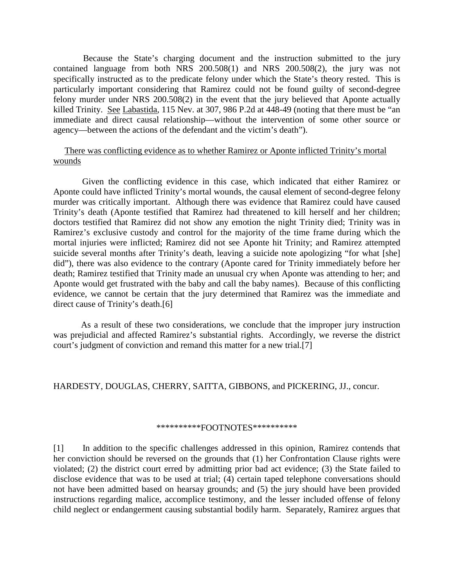Because the State's charging document and the instruction submitted to the jury contained language from both NRS 200.508(1) and NRS 200.508(2), the jury was not specifically instructed as to the predicate felony under which the State's theory rested. This is particularly important considering that Ramirez could not be found guilty of second-degree felony murder under NRS 200.508(2) in the event that the jury believed that Aponte actually killed Trinity. See Labastida, 115 Nev. at 307, 986 P.2d at 448-49 (noting that there must be "an immediate and direct causal relationship—without the intervention of some other source or agency—between the actions of the defendant and the victim's death").

#### There was conflicting evidence as to whether Ramirez or Aponte inflicted Trinity's mortal wounds

 Given the conflicting evidence in this case, which indicated that either Ramirez or Aponte could have inflicted Trinity's mortal wounds, the causal element of second-degree felony murder was critically important. Although there was evidence that Ramirez could have caused Trinity's death (Aponte testified that Ramirez had threatened to kill herself and her children; doctors testified that Ramirez did not show any emotion the night Trinity died; Trinity was in Ramirez's exclusive custody and control for the majority of the time frame during which the mortal injuries were inflicted; Ramirez did not see Aponte hit Trinity; and Ramirez attempted suicide several months after Trinity's death, leaving a suicide note apologizing "for what [she] did"), there was also evidence to the contrary (Aponte cared for Trinity immediately before her death; Ramirez testified that Trinity made an unusual cry when Aponte was attending to her; and Aponte would get frustrated with the baby and call the baby names). Because of this conflicting evidence, we cannot be certain that the jury determined that Ramirez was the immediate and direct cause of Trinity's death.[6]

 As a result of these two considerations, we conclude that the improper jury instruction was prejudicial and affected Ramirez's substantial rights. Accordingly, we reverse the district court's judgment of conviction and remand this matter for a new trial.[7]

#### HARDESTY, DOUGLAS, CHERRY, SAITTA, GIBBONS, and PICKERING, JJ., concur.

#### \*\*\*\*\*\*\*\*\*\*\*FOOTNOTES\*\*\*\*\*\*\*\*\*\*\*

[1] In addition to the specific challenges addressed in this opinion, Ramirez contends that her conviction should be reversed on the grounds that (1) her Confrontation Clause rights were violated; (2) the district court erred by admitting prior bad act evidence; (3) the State failed to disclose evidence that was to be used at trial; (4) certain taped telephone conversations should not have been admitted based on hearsay grounds; and (5) the jury should have been provided instructions regarding malice, accomplice testimony, and the lesser included offense of felony child neglect or endangerment causing substantial bodily harm. Separately, Ramirez argues that